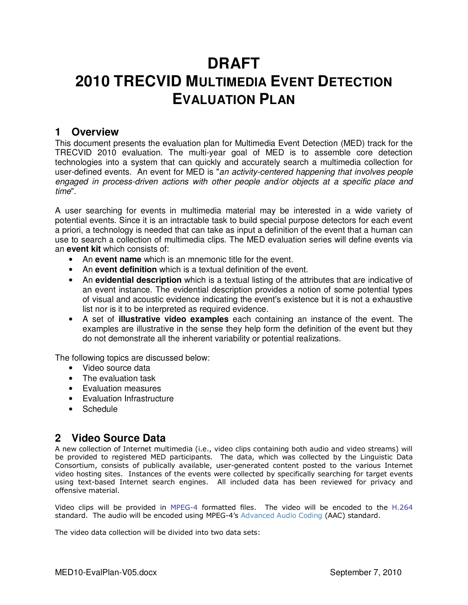# **DRAFT 2010 TRECVID MULTIMEDIA EVENT DETECTION EVALUATION PLAN**

### **1 Overview**

This document presents the evaluation plan for Multimedia Event Detection (MED) track for the TRECVID 2010 evaluation. The multi-year goal of MED is to assemble core detection technologies into a system that can quickly and accurately search a multimedia collection for user-defined events. An event for MED is "an activity-centered happening that involves people engaged in process-driven actions with other people and/or objects at a specific place and time".

A user searching for events in multimedia material may be interested in a wide variety of potential events. Since it is an intractable task to build special purpose detectors for each event a priori, a technology is needed that can take as input a definition of the event that a human can use to search a collection of multimedia clips. The MED evaluation series will define events via an **event kit** which consists of:

- An **event name** which is an mnemonic title for the event.
- An **event definition** which is a textual definition of the event.
- An **evidential description** which is a textual listing of the attributes that are indicative of an event instance. The evidential description provides a notion of some potential types of visual and acoustic evidence indicating the event's existence but it is not a exhaustive list nor is it to be interpreted as required evidence.
- A set of **illustrative video examples** each containing an instance of the event. The examples are illustrative in the sense they help form the definition of the event but they do not demonstrate all the inherent variability or potential realizations.

The following topics are discussed below:

- Video source data
- The evaluation task
- Evaluation measures
- Evaluation Infrastructure
- Schedule

# **2 Video Source Data**

A new collection of Internet multimedia (i.e., video clips containing both audio and video streams) will be provided to registered MED participants. The data, which was collected by the Linguistic Data Consortium, consists of publically available, user-generated content posted to the various Internet video hosting sites. Instances of the events were collected by specifically searching for target events using text-based Internet search engines. All included data has been reviewed for privacy and offensive material.

Video clips will be provided in MPEG-4 formatted files. The video will be encoded to the H.264 standard. The audio will be encoded using MPEG-4's Advanced Audio Coding (AAC) standard.

The video data collection will be divided into two data sets: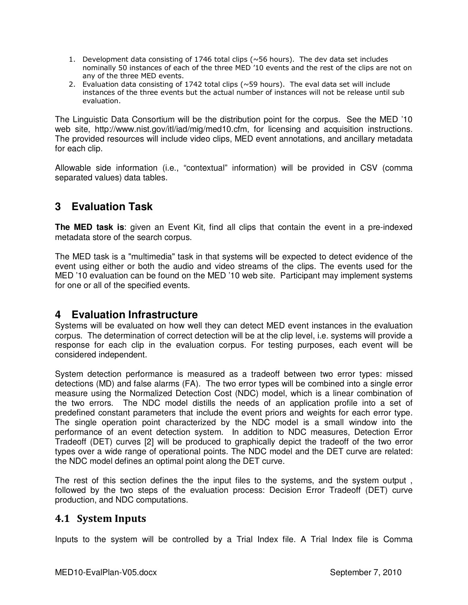- 1. Development data consisting of 1746 total clips ( $\sim$ 56 hours). The dev data set includes nominally 50 instances of each of the three MED '10 events and the rest of the clips are not on any of the three MED events.
- 2. Evaluation data consisting of 1742 total clips (~59 hours). The eval data set will include instances of the three events but the actual number of instances will not be release until sub evaluation.

The Linguistic Data Consortium will be the distribution point for the corpus. See the MED '10 web site, http://www.nist.gov/itl/iad/mig/med10.cfm, for licensing and acquisition instructions. The provided resources will include video clips, MED event annotations, and ancillary metadata for each clip.

Allowable side information (i.e., "contextual" information) will be provided in CSV (comma separated values) data tables.

# **3 Evaluation Task**

**The MED task is**: given an Event Kit, find all clips that contain the event in a pre-indexed metadata store of the search corpus.

The MED task is a "multimedia" task in that systems will be expected to detect evidence of the event using either or both the audio and video streams of the clips. The events used for the MED '10 evaluation can be found on the MED '10 web site. Participant may implement systems for one or all of the specified events.

### **4 Evaluation Infrastructure**

Systems will be evaluated on how well they can detect MED event instances in the evaluation corpus. The determination of correct detection will be at the clip level, i.e. systems will provide a response for each clip in the evaluation corpus. For testing purposes, each event will be considered independent.

System detection performance is measured as a tradeoff between two error types: missed detections (MD) and false alarms (FA). The two error types will be combined into a single error measure using the Normalized Detection Cost (NDC) model, which is a linear combination of the two errors. The NDC model distills the needs of an application profile into a set of predefined constant parameters that include the event priors and weights for each error type. The single operation point characterized by the NDC model is a small window into the performance of an event detection system. In addition to NDC measures, Detection Error Tradeoff (DET) curves [2] will be produced to graphically depict the tradeoff of the two error types over a wide range of operational points. The NDC model and the DET curve are related: the NDC model defines an optimal point along the DET curve.

The rest of this section defines the the input files to the systems, and the system output , followed by the two steps of the evaluation process: Decision Error Tradeoff (DET) curve production, and NDC computations.

### **4.1 System Inputs**

Inputs to the system will be controlled by a Trial Index file. A Trial Index file is Comma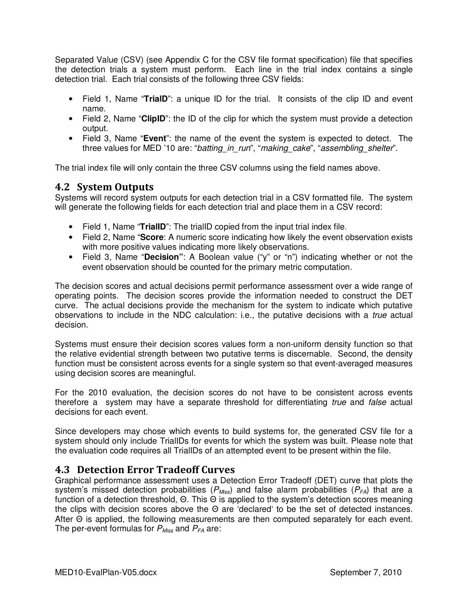Separated Value (CSV) (see Appendix C for the CSV file format specification) file that specifies the detection trials a system must perform. Each line in the trial index contains a single detection trial. Each trial consists of the following three CSV fields:

- Field 1, Name "**TrialD**": a unique ID for the trial. It consists of the clip ID and event name.
- Field 2, Name "**ClipID**": the ID of the clip for which the system must provide a detection output.
- Field 3, Name "**Event**": the name of the event the system is expected to detect. The three values for MED '10 are: "batting in run", "making cake", "assembling shelter".

The trial index file will only contain the three CSV columns using the field names above.

### **4.2 System Outputs**

Systems will record system outputs for each detection trial in a CSV formatted file. The system will generate the following fields for each detection trial and place them in a CSV record:

- Field 1, Name "**TrialID**": The trialID copied from the input trial index file.
- Field 2, Name "**Score**: A numeric score indicating how likely the event observation exists with more positive values indicating more likely observations.
- Field 3, Name "**Decision"**: A Boolean value ("y" or "n") indicating whether or not the event observation should be counted for the primary metric computation.

The decision scores and actual decisions permit performance assessment over a wide range of operating points. The decision scores provide the information needed to construct the DET curve. The actual decisions provide the mechanism for the system to indicate which putative observations to include in the NDC calculation: i.e., the putative decisions with a *true* actual decision.

Systems must ensure their decision scores values form a non-uniform density function so that the relative evidential strength between two putative terms is discernable. Second, the density function must be consistent across events for a single system so that event-averaged measures using decision scores are meaningful.

For the 2010 evaluation, the decision scores do not have to be consistent across events therefore a system may have a separate threshold for differentiating *true* and *false* actual decisions for each event.

Since developers may chose which events to build systems for, the generated CSV file for a system should only include TrialIDs for events for which the system was built. Please note that the evaluation code requires all TrialIDs of an attempted event to be present within the file.

### **4.3 Detection Error Tradeoff Curves**

Graphical performance assessment uses a Detection Error Tradeoff (DET) curve that plots the system's missed detection probabilities ( $P_{Miss}$ ) and false alarm probabilities ( $P_{FA}$ ) that are a function of a detection threshold, Θ. This Θ is applied to the system's detection scores meaning the clips with decision scores above the Θ are 'declared' to be the set of detected instances. After Θ is applied, the following measurements are then computed separately for each event. The per-event formulas for  $P_{Miss}$  and  $P_{FA}$  are: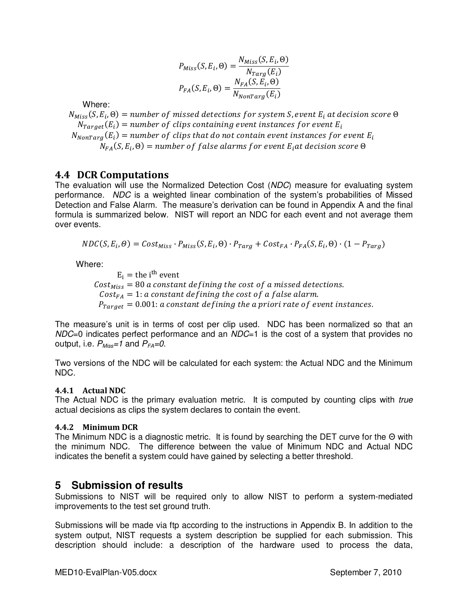$$
P_{Miss}(S, E_i, \Theta) = \frac{N_{Miss}(S, E_i, \Theta)}{N_{Targ}(E_i)}
$$

$$
P_{FA}(S, E_i, \Theta) = \frac{N_{FA}(S, E_i, \Theta)}{N_{NonTarg}(E_i)}
$$

Where:

 $N_{Miss}(\textit{S}, E_i, \Theta) =$  number of missed detections for system S, event  $E_i$  at decision score  $\Theta$  $N_{Target}(E_i) =$  number of clips containing event instances for event  $E_i$  $N_{NonTarg}(E_i) =$  number of clips that do not contain event instances for event  $E_i$  $N_{FA}(S, E_i, \Theta) =$  number of false alarms for event  $E_i$ at decision score  $\Theta$ 

### **4.4 DCR Computations**

The evaluation will use the Normalized Detection Cost (NDC) measure for evaluating system performance. NDC is a weighted linear combination of the system's probabilities of Missed Detection and False Alarm. The measure's derivation can be found in Appendix A and the final formula is summarized below. NIST will report an NDC for each event and not average them over events.

 $NDC(S, E_i, \Theta) = Cost_{Miss} \cdot P_{Miss}(S, E_i, \Theta) \cdot P_{Targ} + Cost_{FA} \cdot P_{FA}(S, E_i, \Theta) \cdot (1 - P_{Targ})$ 

Where:

 $E_i$  = the i<sup>th</sup> event Cost $_{\mathit{Miss}}=80$  a constant defining the cost of a missed detections.  $Cost_{FA} = 1$ : a constant defining the cost of a false alarm.  $P_{\text{Target}} = 0.001$ : a constant defining the a priori rate of event instances.

The measure's unit is in terms of cost per clip used. NDC has been normalized so that an NDC=0 indicates perfect performance and an NDC=1 is the cost of a system that provides no output, i.e.  $P_{Miss}=1$  and  $P_{FA}=0$ .

Two versions of the NDC will be calculated for each system: the Actual NDC and the Minimum NDC.

#### **4.4.1 Actual NDC**

The Actual NDC is the primary evaluation metric. It is computed by counting clips with true actual decisions as clips the system declares to contain the event.

#### **4.4.2 Minimum DCR**

The Minimum NDC is a diagnostic metric. It is found by searching the DET curve for the Θ with the minimum NDC. The difference between the value of Minimum NDC and Actual NDC indicates the benefit a system could have gained by selecting a better threshold.

### **5 Submission of results**

Submissions to NIST will be required only to allow NIST to perform a system-mediated improvements to the test set ground truth.

Submissions will be made via ftp according to the instructions in Appendix B. In addition to the system output, NIST requests a system description be supplied for each submission. This description should include: a description of the hardware used to process the data,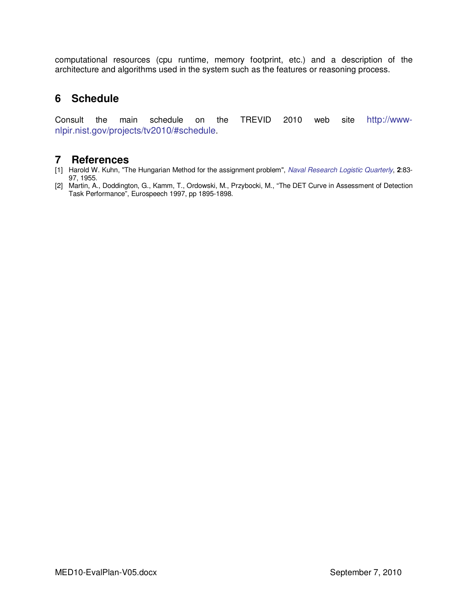computational resources (cpu runtime, memory footprint, etc.) and a description of the architecture and algorithms used in the system such as the features or reasoning process.

# **6 Schedule**

Consult the main schedule on the TREVID 2010 web site http://wwwnlpir.nist.gov/projects/tv2010/#schedule.

# **7 References**

- [1] Harold W. Kuhn, "The Hungarian Method for the assignment problem", Naval Research Logistic Quarterly, **2**:83- 97, 1955.
- [2] Martin, A., Doddington, G., Kamm, T., Ordowski, M., Przybocki, M., "The DET Curve in Assessment of Detection Task Performance", Eurospeech 1997, pp 1895-1898.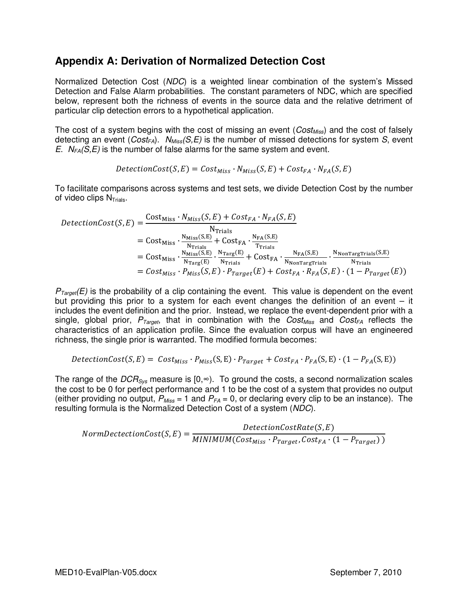# **Appendix A: Derivation of Normalized Detection Cost**

Normalized Detection Cost (NDC) is a weighted linear combination of the system's Missed Detection and False Alarm probabilities. The constant parameters of NDC, which are specified below, represent both the richness of events in the source data and the relative detriment of particular clip detection errors to a hypothetical application.

The cost of a system begins with the cost of missing an event ( $Cost_{Miss}$ ) and the cost of falsely detecting an event ( $Cost_{FA}$ ).  $N_{Miss}(S, E)$  is the number of missed detections for system S, event E.  $N_{FA}(S,E)$  is the number of false alarms for the same system and event.

$$
DetectionCost(S, E) = Cost_{Miss} \cdot N_{Miss}(S, E) + Cost_{FA} \cdot N_{FA}(S, E)
$$

To facilitate comparisons across systems and test sets, we divide Detection Cost by the number of video clips  $N_{\text{Trials}}$ .

$$
DetectionCost(S, E) = \frac{Cost_{Miss} \cdot N_{Miss}(S, E) + Cost_{FA} \cdot N_{FA}(S, E)}{N_{Trials}}
$$
  
= Cost<sub>Miss</sub> \cdot  $\frac{N_{Miss}(S, E)}{N_{Trials}} + Cost_{FA} \cdot \frac{N_{FA}(S, E)}{T_{Trials}}$   
= Cost<sub>Miss</sub> \cdot  $\frac{N_{Miss}(S, E)}{N_{Trag}(E)} \cdot \frac{N_{Targ}(E)}{N_{Trials}} + Cost_{FA} \cdot \frac{N_{FA}(S, E)}{N_{NonTargTrials}} \cdot \frac{N_{NonTargTrials}(S, E)}{N_{Trials}}$   
= Cost<sub>Miss</sub> \cdot P<sub>Miss</sub>(S, E) \cdot P<sub>Target</sub>(E) + Cost<sub>FA</sub> \cdot R<sub>FA</sub>(S, E) \cdot (1 - P<sub>Target</sub>(E))

 $P_{Tareet}(E)$  is the probability of a clip containing the event. This value is dependent on the event but providing this prior to a system for each event changes the definition of an event  $-$  it includes the event definition and the prior. Instead, we replace the event-dependent prior with a single, global prior,  $P_{Tareet}$ , that in combination with the  $Cost_{Miss}$  and  $Cost_{FA}$  reflects the characteristics of an application profile. Since the evaluation corpus will have an engineered richness, the single prior is warranted. The modified formula becomes:

$$
DetectionCost(S, E) = Cost_{Miss} \cdot P_{Miss}(S, E) \cdot P_{Target} + Cost_{FA} \cdot P_{FA}(S, E) \cdot (1 - P_{FA}(S, E))
$$

The range of the  $DCR<sub>sys</sub>$  measure is [0, $\infty$ ). To ground the costs, a second normalization scales the cost to be 0 for perfect performance and 1 to be the cost of a system that provides no output (either providing no output,  $P_{Miss} = 1$  and  $P_{FA} = 0$ , or declaring every clip to be an instance). The resulting formula is the Normalized Detection Cost of a system (NDC).

 $NormDetectionCost(S, E) = \frac{MINIMUM(Cost_{Miss} \cdot P_{Target}, Cost_{A} \cdot (1 - P_{Target}))}{MINIMUM(Cost_{Miss} \cdot P_{Target}, Cost_{FA} \cdot (1 - P_{Target}))}$  $DetectionCostRate(S, E)$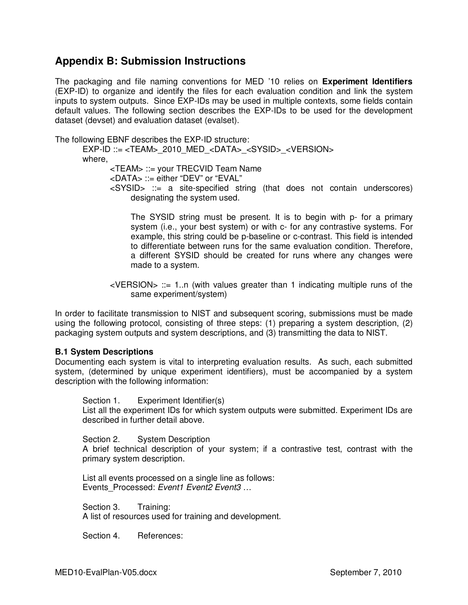# **Appendix B: Submission Instructions**

The packaging and file naming conventions for MED '10 relies on **Experiment Identifiers** (EXP-ID) to organize and identify the files for each evaluation condition and link the system inputs to system outputs. Since EXP-IDs may be used in multiple contexts, some fields contain default values. The following section describes the EXP-IDs to be used for the development dataset (devset) and evaluation dataset (evalset).

The following EBNF describes the EXP-ID structure:

EXP-ID ::= <TEAM>\_2010\_MED\_<DATA>\_<SYSID>\_<VERSION> where, <TEAM> ::= your TRECVID Team Name <DATA> ::= either "DEV" or "EVAL" <SYSID> ::= a site-specified string (that does not contain underscores) designating the system used.

> The SYSID string must be present. It is to begin with p- for a primary system (i.e., your best system) or with c- for any contrastive systems. For example, this string could be p-baseline or c-contrast. This field is intended to differentiate between runs for the same evaluation condition. Therefore, a different SYSID should be created for runs where any changes were made to a system.

 $\le$ VERSION $>$  ::= 1..n (with values greater than 1 indicating multiple runs of the same experiment/system)

In order to facilitate transmission to NIST and subsequent scoring, submissions must be made using the following protocol, consisting of three steps: (1) preparing a system description, (2) packaging system outputs and system descriptions, and (3) transmitting the data to NIST.

### **B.1 System Descriptions**

Documenting each system is vital to interpreting evaluation results. As such, each submitted system, (determined by unique experiment identifiers), must be accompanied by a system description with the following information:

Section 1. Experiment Identifier(s)

List all the experiment IDs for which system outputs were submitted. Experiment IDs are described in further detail above.

Section 2. System Description

A brief technical description of your system; if a contrastive test, contrast with the primary system description.

List all events processed on a single line as follows: Events Processed: Event1 Event2 Event3 ...

Section 3. Training: A list of resources used for training and development.

Section 4. References: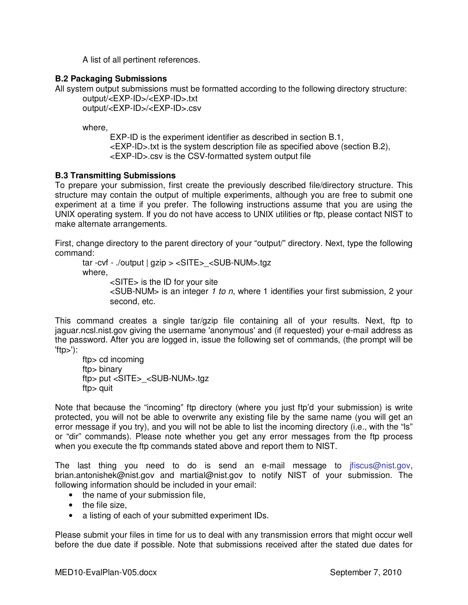A list of all pertinent references.

### **B.2 Packaging Submissions**

All system output submissions must be formatted according to the following directory structure:

output/<EXP-ID>/<EXP-ID>.txt output/<EXP-ID>/<EXP-ID>.csv

where,

EXP-ID is the experiment identifier as described in section B.1, <EXP-ID>.txt is the system description file as specified above (section B.2), <EXP-ID>.csv is the CSV-formatted system output file

### **B.3 Transmitting Submissions**

To prepare your submission, first create the previously described file/directory structure. This structure may contain the output of multiple experiments, although you are free to submit one experiment at a time if you prefer. The following instructions assume that you are using the UNIX operating system. If you do not have access to UNIX utilities or ftp, please contact NIST to make alternate arrangements.

First, change directory to the parent directory of your "output/" directory. Next, type the following command:

tar -cvf - ./output | gzip > <SITE>\_<SUB-NUM>.tgz where, <SITE> is the ID for your site  $\leq$ SUB-NUM $>$  is an integer 1 to n, where 1 identifies your first submission, 2 your second, etc.

This command creates a single tar/gzip file containing all of your results. Next, ftp to jaguar.ncsl.nist.gov giving the username 'anonymous' and (if requested) your e-mail address as the password. After you are logged in, issue the following set of commands, (the prompt will be  $'ftp$ ):

ftp> cd incoming ftp> binary ftp> put <SITE>\_<SUB-NUM>.tgz ftp> quit

Note that because the "incoming" ftp directory (where you just ftp'd your submission) is write protected, you will not be able to overwrite any existing file by the same name (you will get an error message if you try), and you will not be able to list the incoming directory (i.e., with the "ls" or "dir" commands). Please note whether you get any error messages from the ftp process when you execute the ftp commands stated above and report them to NIST.

The last thing you need to do is send an e-mail message to jfiscus@nist.gov, brian.antonishek@nist.gov and martial@nist.gov to notify NIST of your submission. The following information should be included in your email:

- the name of your submission file,
- the file size.
- a listing of each of your submitted experiment IDs.

Please submit your files in time for us to deal with any transmission errors that might occur well before the due date if possible. Note that submissions received after the stated due dates for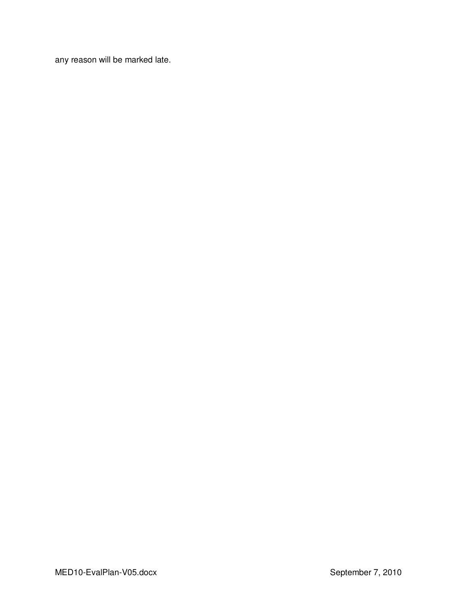any reason will be marked late.